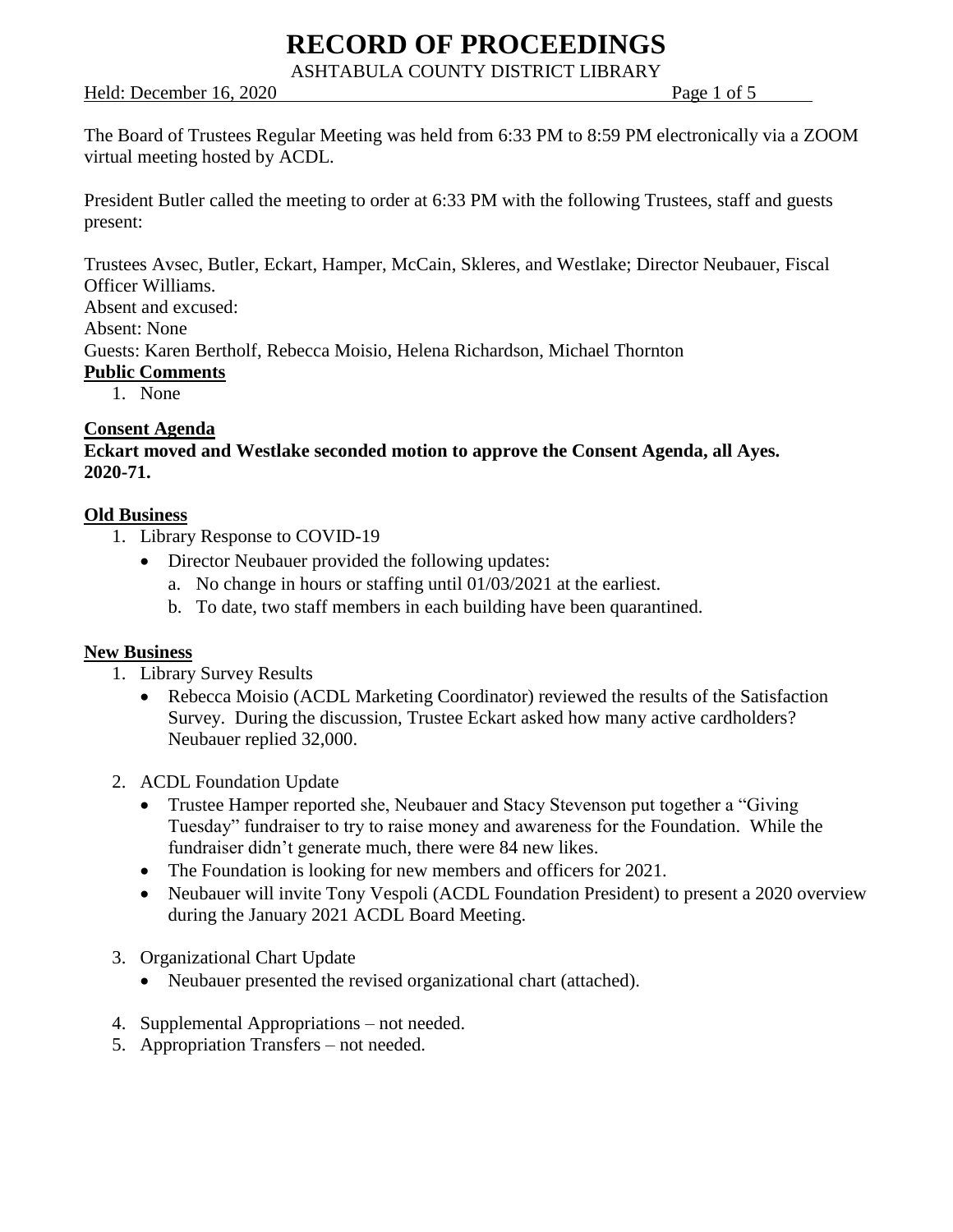# **RECORD OF PROCEEDINGS**

ASHTABULA COUNTY DISTRICT LIBRARY

## Held: December 16, 2020 Page 1 of 5

The Board of Trustees Regular Meeting was held from 6:33 PM to 8:59 PM electronically via a ZOOM virtual meeting hosted by ACDL.

President Butler called the meeting to order at 6:33 PM with the following Trustees, staff and guests present:

Trustees Avsec, Butler, Eckart, Hamper, McCain, Skleres, and Westlake; Director Neubauer, Fiscal Officer Williams.

Absent and excused:

Absent: None

Guests: Karen Bertholf, Rebecca Moisio, Helena Richardson, Michael Thornton

## **Public Comments**

1. None

## **Consent Agenda**

**Eckart moved and Westlake seconded motion to approve the Consent Agenda, all Ayes. 2020-71.**

## **Old Business**

- 1. Library Response to COVID-19
	- Director Neubauer provided the following updates:
		- a. No change in hours or staffing until 01/03/2021 at the earliest.
		- b. To date, two staff members in each building have been quarantined.

## **New Business**

- 1. Library Survey Results
	- Rebecca Moisio (ACDL Marketing Coordinator) reviewed the results of the Satisfaction Survey. During the discussion, Trustee Eckart asked how many active cardholders? Neubauer replied 32,000.
- 2. ACDL Foundation Update
	- Trustee Hamper reported she, Neubauer and Stacy Stevenson put together a "Giving" Tuesday" fundraiser to try to raise money and awareness for the Foundation. While the fundraiser didn't generate much, there were 84 new likes.
	- The Foundation is looking for new members and officers for 2021.
	- Neubauer will invite Tony Vespoli (ACDL Foundation President) to present a 2020 overview during the January 2021 ACDL Board Meeting.
- 3. Organizational Chart Update
	- Neubauer presented the revised organizational chart (attached).
- 4. Supplemental Appropriations not needed.
- 5. Appropriation Transfers not needed.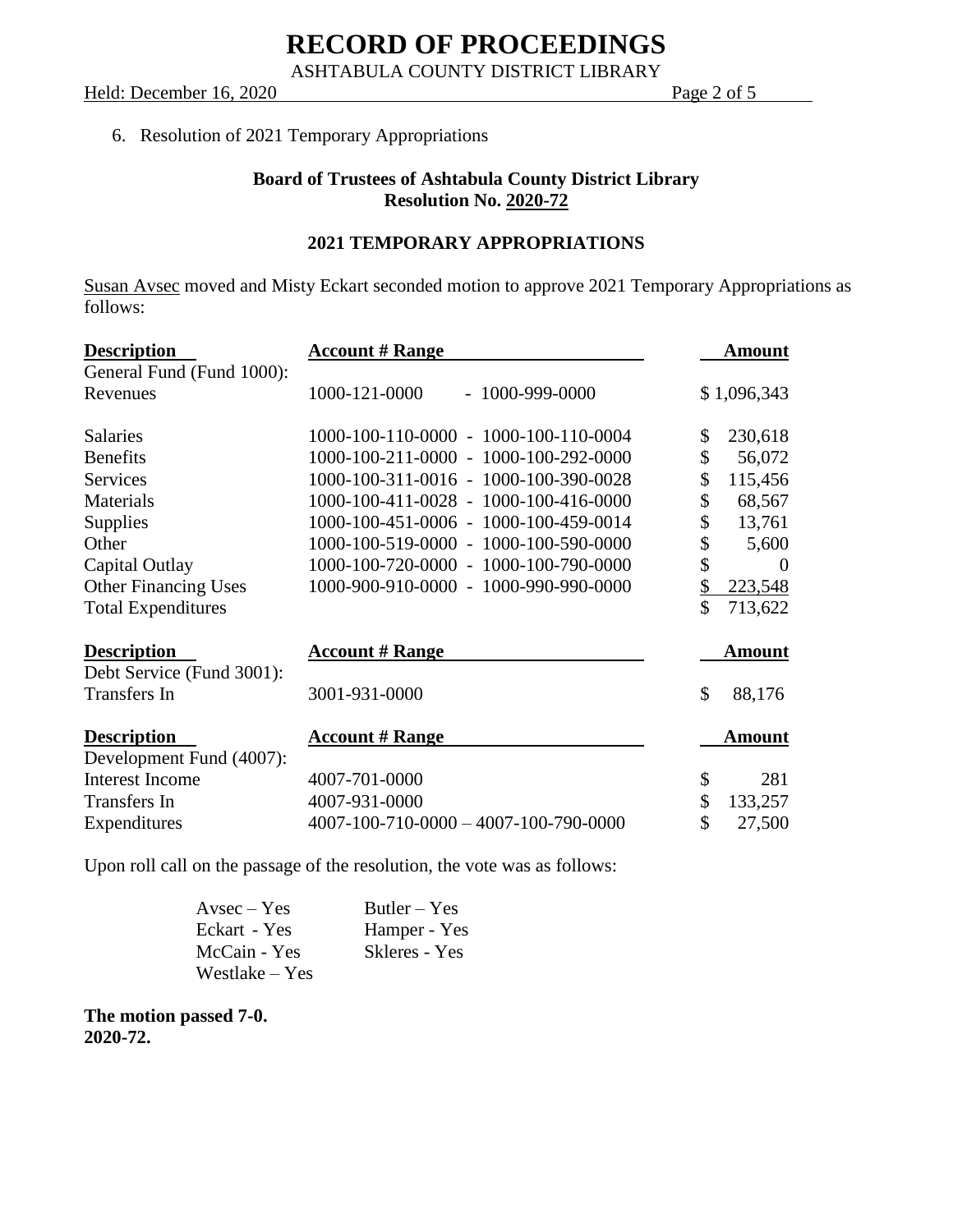ASHTABULA COUNTY DISTRICT LIBRARY

Held: December 16, 2020 Page 2 of 5

## 6. Resolution of 2021 Temporary Appropriations

## **Board of Trustees of Ashtabula County District Library Resolution No. 2020-72**

## **2021 TEMPORARY APPROPRIATIONS**

Susan Avsec moved and Misty Eckart seconded motion to approve 2021 Temporary Appropriations as follows:

| <b>Description</b>          | <b>Account # Range</b>                | <b>Amount</b>  |
|-----------------------------|---------------------------------------|----------------|
| General Fund (Fund 1000):   |                                       |                |
| Revenues                    | 1000-121-0000<br>$-1000 - 999 - 0000$ | \$1,096,343    |
| <b>Salaries</b>             | 1000-100-110-0000 - 1000-100-110-0004 | \$<br>230,618  |
| <b>Benefits</b>             | 1000-100-211-0000 - 1000-100-292-0000 | \$<br>56,072   |
| <b>Services</b>             | 1000-100-311-0016 - 1000-100-390-0028 | \$<br>115,456  |
| Materials                   | 1000-100-411-0028 - 1000-100-416-0000 | \$<br>68,567   |
| Supplies                    | 1000-100-451-0006 - 1000-100-459-0014 | \$<br>13,761   |
| Other                       | 1000-100-519-0000 - 1000-100-590-0000 | \$<br>5,600    |
| Capital Outlay              | 1000-100-720-0000 - 1000-100-790-0000 | \$<br>$\Omega$ |
| <b>Other Financing Uses</b> | 1000-900-910-0000 - 1000-990-990-0000 | \$<br>223,548  |
| <b>Total Expenditures</b>   |                                       | \$<br>713,622  |
| <b>Description</b>          | <b>Account # Range</b>                | Amount         |
| Debt Service (Fund 3001):   |                                       |                |
| Transfers In                | 3001-931-0000                         | \$<br>88,176   |
| <b>Description</b>          | <b>Account # Range</b>                | <b>Amount</b>  |
| Development Fund (4007):    |                                       |                |
| <b>Interest Income</b>      | 4007-701-0000                         | \$<br>281      |
| Transfers In                | 4007-931-0000                         | \$<br>133,257  |
| Expenditures                | 4007-100-710-0000 - 4007-100-790-0000 | \$<br>27,500   |

Upon roll call on the passage of the resolution, the vote was as follows:

| $A$ vsec $-$ Yes | $Butler - Yes$ |
|------------------|----------------|
| Eckart - Yes     | Hamper - Yes   |
| McCain - Yes     | Skleres - Yes  |
| Westlake – Yes   |                |

**The motion passed 7-0. 2020-72.**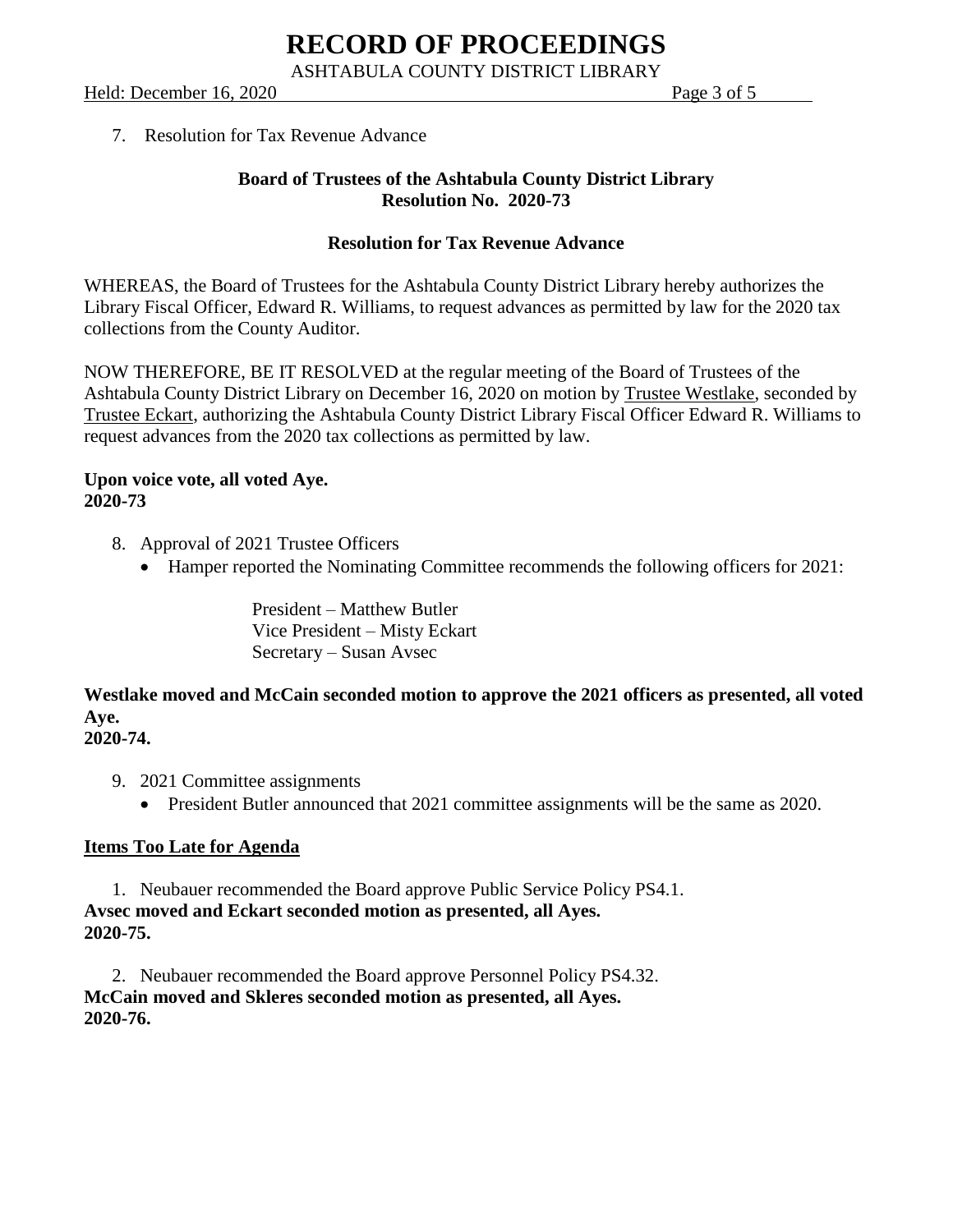## Held: December 16, 2020 Page 3 of 5

## 7. Resolution for Tax Revenue Advance

## **Board of Trustees of the Ashtabula County District Library Resolution No. 2020-73**

## **Resolution for Tax Revenue Advance**

WHEREAS, the Board of Trustees for the Ashtabula County District Library hereby authorizes the Library Fiscal Officer, Edward R. Williams, to request advances as permitted by law for the 2020 tax collections from the County Auditor.

NOW THEREFORE, BE IT RESOLVED at the regular meeting of the Board of Trustees of the Ashtabula County District Library on December 16, 2020 on motion by Trustee Westlake, seconded by Trustee Eckart, authorizing the Ashtabula County District Library Fiscal Officer Edward R. Williams to request advances from the 2020 tax collections as permitted by law.

#### **Upon voice vote, all voted Aye. 2020-73**

- 8. Approval of 2021 Trustee Officers
	- Hamper reported the Nominating Committee recommends the following officers for 2021:

President – Matthew Butler Vice President – Misty Eckart Secretary – Susan Avsec

**Westlake moved and McCain seconded motion to approve the 2021 officers as presented, all voted Aye. 2020-74.**

## 9. 2021 Committee assignments

• President Butler announced that 2021 committee assignments will be the same as 2020.

## **Items Too Late for Agenda**

1. Neubauer recommended the Board approve Public Service Policy PS4.1. **Avsec moved and Eckart seconded motion as presented, all Ayes. 2020-75.**

2. Neubauer recommended the Board approve Personnel Policy PS4.32. **McCain moved and Skleres seconded motion as presented, all Ayes. 2020-76.**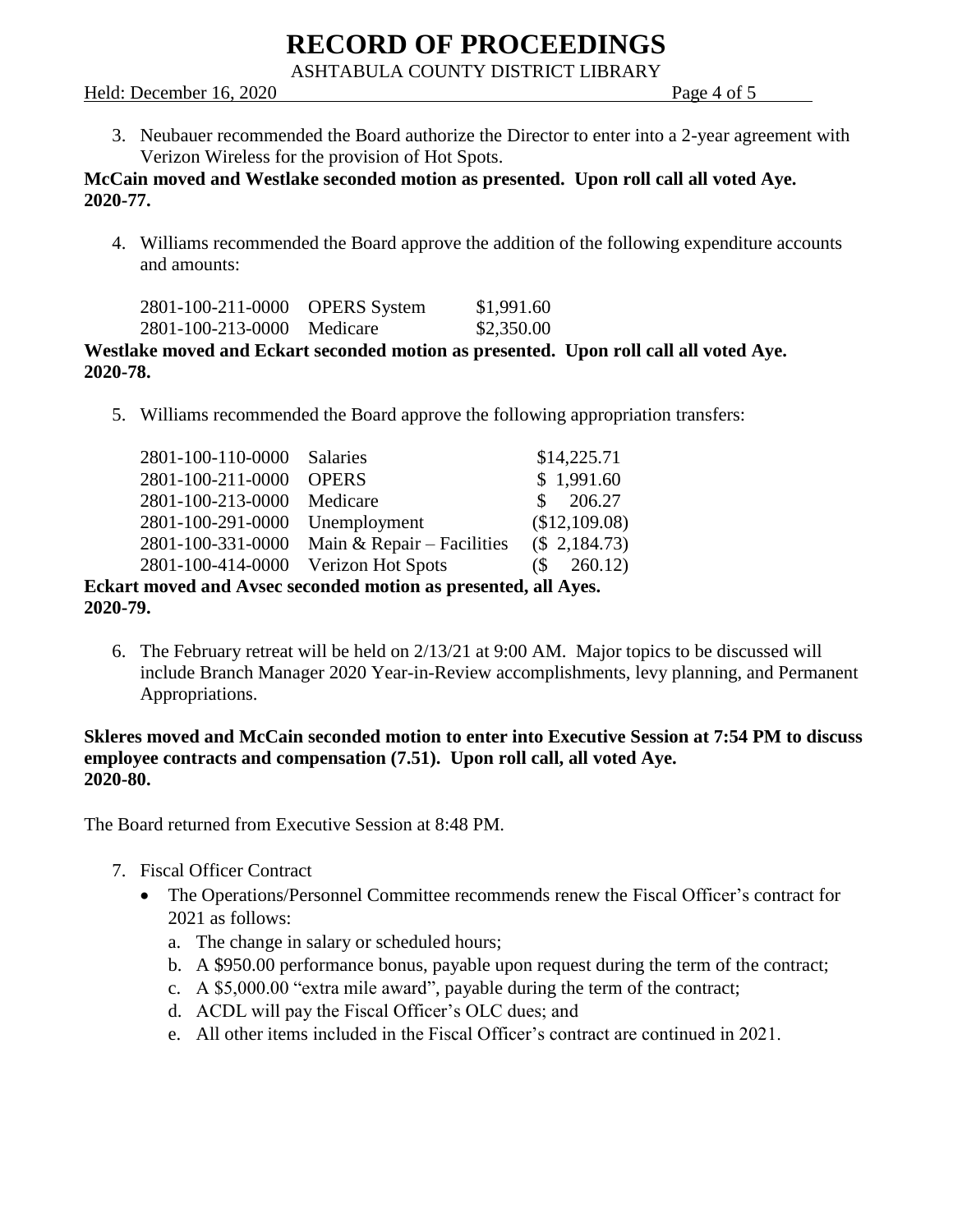# **RECORD OF PROCEEDINGS**

ASHTABULA COUNTY DISTRICT LIBRARY

#### Held: December 16, 2020 Page 4 of 5

3. Neubauer recommended the Board authorize the Director to enter into a 2-year agreement with Verizon Wireless for the provision of Hot Spots.

## **McCain moved and Westlake seconded motion as presented. Upon roll call all voted Aye. 2020-77.**

4. Williams recommended the Board approve the addition of the following expenditure accounts and amounts:

| 2801-100-211-0000 | <b>OPERS</b> System | \$1,991.60 |
|-------------------|---------------------|------------|
| 2801-100-213-0000 | Medicare            | \$2,350.00 |

## **Westlake moved and Eckart seconded motion as presented. Upon roll call all voted Aye. 2020-78.**

5. Williams recommended the Board approve the following appropriation transfers:

| 2801-100-110-0000 Salaries          |                                                                |    | \$14,225.71   |
|-------------------------------------|----------------------------------------------------------------|----|---------------|
| 2801-100-211-0000                   | <b>OPERS</b>                                                   |    | \$1,991.60    |
| 2801-100-213-0000                   | Medicare                                                       | £. | 206.27        |
| 2801-100-291-0000                   | Unemployment                                                   |    | (\$12,109.08) |
| 2801-100-331-0000                   | Main & Repair $-$ Facilities                                   |    | (\$2,184.73)  |
| 2801-100-414-0000 Verizon Hot Spots |                                                                | (S | 260.12)       |
|                                     | Eckart moved and Avsec seconded motion as presented, all Ayes. |    |               |
|                                     |                                                                |    |               |

**2020-79.**

6. The February retreat will be held on 2/13/21 at 9:00 AM. Major topics to be discussed will include Branch Manager 2020 Year-in-Review accomplishments, levy planning, and Permanent Appropriations.

## **Skleres moved and McCain seconded motion to enter into Executive Session at 7:54 PM to discuss employee contracts and compensation (7.51). Upon roll call, all voted Aye. 2020-80.**

The Board returned from Executive Session at 8:48 PM.

- 7. Fiscal Officer Contract
	- The Operations/Personnel Committee recommends renew the Fiscal Officer's contract for 2021 as follows:
		- a. The change in salary or scheduled hours;
		- b. A \$950.00 performance bonus, payable upon request during the term of the contract;
		- c. A \$5,000.00 "extra mile award", payable during the term of the contract;
		- d. ACDL will pay the Fiscal Officer's OLC dues; and
		- e. All other items included in the Fiscal Officer's contract are continued in 2021.